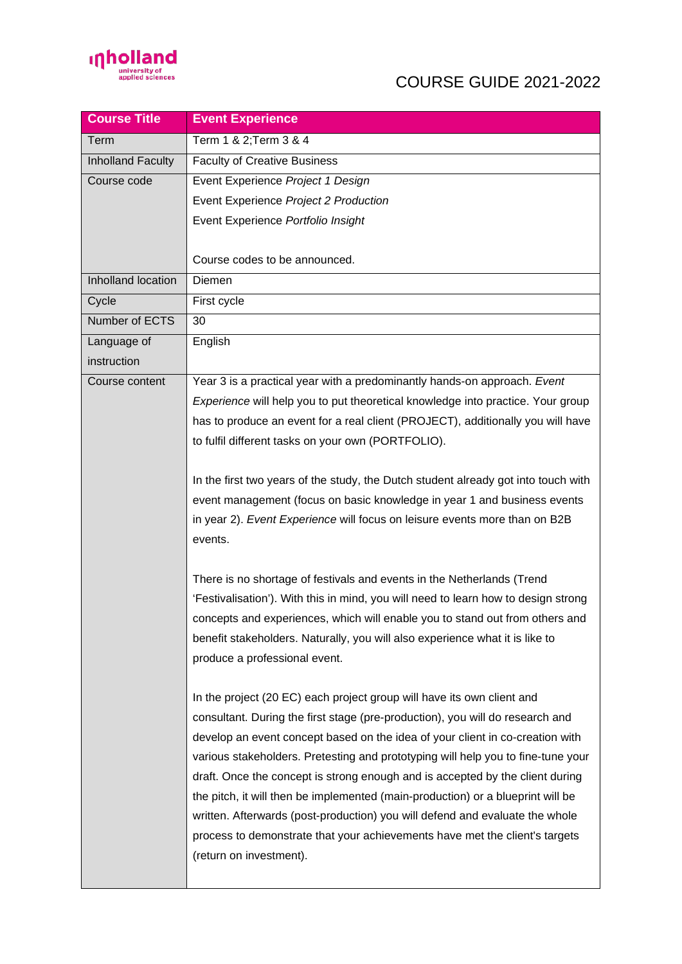

## COURSE GUIDE 2021-2022

| <b>Course Title</b> | <b>Event Experience</b>                                                            |
|---------------------|------------------------------------------------------------------------------------|
| Term                | Term 1 & 2; Term 3 & 4                                                             |
| Inholland Faculty   | <b>Faculty of Creative Business</b>                                                |
| Course code         | Event Experience Project 1 Design                                                  |
|                     | Event Experience Project 2 Production                                              |
|                     | Event Experience Portfolio Insight                                                 |
|                     |                                                                                    |
|                     | Course codes to be announced.                                                      |
| Inholland location  | Diemen                                                                             |
| Cycle               | First cycle                                                                        |
| Number of ECTS      | 30                                                                                 |
| Language of         | English                                                                            |
| instruction         |                                                                                    |
| Course content      | Year 3 is a practical year with a predominantly hands-on approach. Event           |
|                     | Experience will help you to put theoretical knowledge into practice. Your group    |
|                     | has to produce an event for a real client (PROJECT), additionally you will have    |
|                     | to fulfil different tasks on your own (PORTFOLIO).                                 |
|                     |                                                                                    |
|                     | In the first two years of the study, the Dutch student already got into touch with |
|                     | event management (focus on basic knowledge in year 1 and business events           |
|                     | in year 2). Event Experience will focus on leisure events more than on B2B         |
|                     | events.                                                                            |
|                     |                                                                                    |
|                     | There is no shortage of festivals and events in the Netherlands (Trend             |
|                     | 'Festivalisation'). With this in mind, you will need to learn how to design strong |
|                     | concepts and experiences, which will enable you to stand out from others and       |
|                     | benefit stakeholders. Naturally, you will also experience what it is like to       |
|                     | produce a professional event.                                                      |
|                     |                                                                                    |
|                     | In the project (20 EC) each project group will have its own client and             |
|                     | consultant. During the first stage (pre-production), you will do research and      |
|                     | develop an event concept based on the idea of your client in co-creation with      |
|                     | various stakeholders. Pretesting and prototyping will help you to fine-tune your   |
|                     | draft. Once the concept is strong enough and is accepted by the client during      |
|                     | the pitch, it will then be implemented (main-production) or a blueprint will be    |
|                     | written. Afterwards (post-production) you will defend and evaluate the whole       |
|                     | process to demonstrate that your achievements have met the client's targets        |
|                     | (return on investment).                                                            |
|                     |                                                                                    |